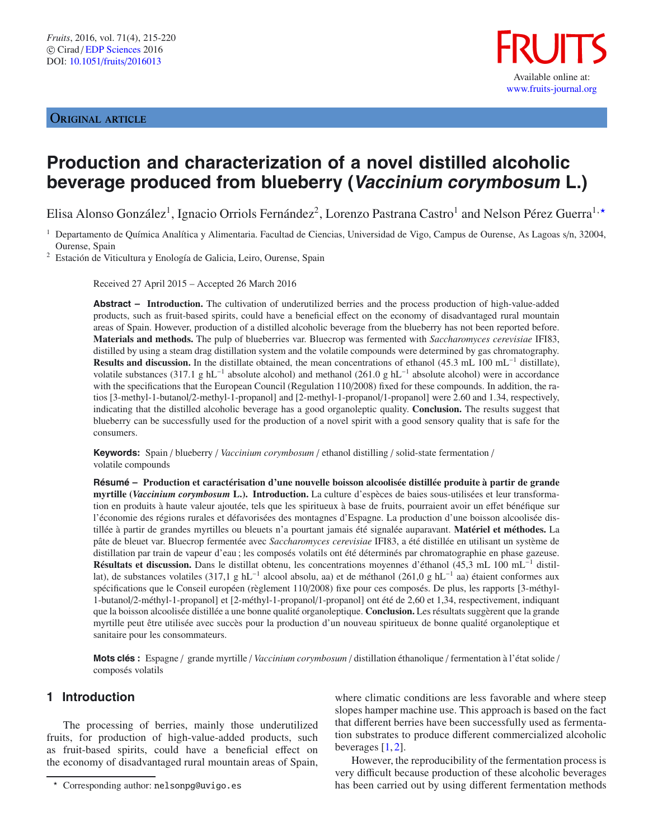## ORIGINAL ARTICLE



# **Production and characterization of a novel distilled alcoholic beverage produced from blueberry (Vaccinium corymbosum L.)**

Elisa Alonso González<sup>1</sup>, Ignacio Orriols Fernández<sup>2</sup>, Lorenzo Pastrana Castro<sup>1</sup> and Nelson Pérez Guerra<sup>1,</sup>\*

<sup>2</sup> Estación de Viticultura y Enología de Galicia, Leiro, Ourense, Spain

Received 27 April 2015 – Accepted 26 March 2016

**Abstract – Introduction.** The cultivation of underutilized berries and the process production of high-value-added products, such as fruit-based spirits, could have a beneficial effect on the economy of disadvantaged rural mountain areas of Spain. However, production of a distilled alcoholic beverage from the blueberry has not been reported before. **Materials and methods.** The pulp of blueberries var. Bluecrop was fermented with *Saccharomyces cerevisiae* IFI83, distilled by using a steam drag distillation system and the volatile compounds were determined by gas chromatography. **Results and discussion.** In the distillate obtained, the mean concentrations of ethanol (45.3 mL 100 mL−<sup>1</sup> distillate), volatile substances (317.1 g hL−<sup>1</sup> absolute alcohol) and methanol (261.0 g hL−<sup>1</sup> absolute alcohol) were in accordance with the specifications that the European Council (Regulation 110/2008) fixed for these compounds. In addition, the ratios [3-methyl-1-butanol/2-methyl-1-propanol] and [2-methyl-1-propanol/1-propanol] were 2.60 and 1.34, respectively, indicating that the distilled alcoholic beverage has a good organoleptic quality. **Conclusion.** The results suggest that blueberry can be successfully used for the production of a novel spirit with a good sensory quality that is safe for the consumers.

**Keywords:** Spain / blueberry / *Vaccinium corymbosum* / ethanol distilling / solid-state fermentation / volatile compounds

**Résumé – Production et caractérisation d'une nouvelle boisson alcoolisée distillée produite à partir de grande myrtille (***Vaccinium corymbosum* **L.). Introduction.** La culture d'espèces de baies sous-utilisées et leur transformation en produits à haute valeur ajoutée, tels que les spiritueux à base de fruits, pourraient avoir un effet bénéfique sur l'économie des régions rurales et défavorisées des montagnes d'Espagne. La production d'une boisson alcoolisée distillée à partir de grandes myrtilles ou bleuets n'a pourtant jamais été signalée auparavant. **Matériel et méthodes.** La pâte de bleuet var. Bluecrop fermentée avec *Saccharomyces cerevisiae* IFI83, a été distillée en utilisant un système de distillation par train de vapeur d'eau ; les composés volatils ont été déterminés par chromatographie en phase gazeuse. **Résultats et discussion.** Dans le distillat obtenu, les concentrations moyennes d'éthanol (45,3 mL 100 mL−<sup>1</sup> distillat), de substances volatiles (317,1 g hL−<sup>1</sup> alcool absolu, aa) et de méthanol (261,0 g hL−<sup>1</sup> aa) étaient conformes aux spécifications que le Conseil européen (règlement 110/2008) fixe pour ces composés. De plus, les rapports [3-méthyl-1-butanol/2-méthyl-1-propanol] et [2-méthyl-1-propanol/1-propanol] ont été de 2,60 et 1,34, respectivement, indiquant que la boisson alcoolisée distillée a une bonne qualité organoleptique. **Conclusion.** Les résultats suggèrent que la grande myrtille peut être utilisée avec succès pour la production d'un nouveau spiritueux de bonne qualité organoleptique et sanitaire pour les consommateurs.

**Mots clés :** Espagne / grande myrtille / *Vaccinium corymbosum* / distillation éthanolique / fermentation à l'état solide / composés volatils

# **1 Introduction**

The processing of berries, mainly those underutilized fruits, for production of high-value-added products, such as fruit-based spirits, could have a beneficial effect on the economy of disadvantaged rural mountain areas of Spain, where climatic conditions are less favorable and where steep slopes hamper machine use. This approach is based on the fact that different berries have been successfully used as fermentation substrates to produce different commercialized alcoholic beverages  $[1, 2]$  $[1, 2]$  $[1, 2]$ .

However, the reproducibility of the fermentation process is very difficult because production of these alcoholic beverages has been carried out by using different fermentation methods

<sup>1</sup> Departamento de Química Analítica y Alimentaria. Facultad de Ciencias, Universidad de Vigo, Campus de Ourense, As Lagoas s/n, 32004, Ourense, Spain

Corresponding author: nelsonpg@uvigo.es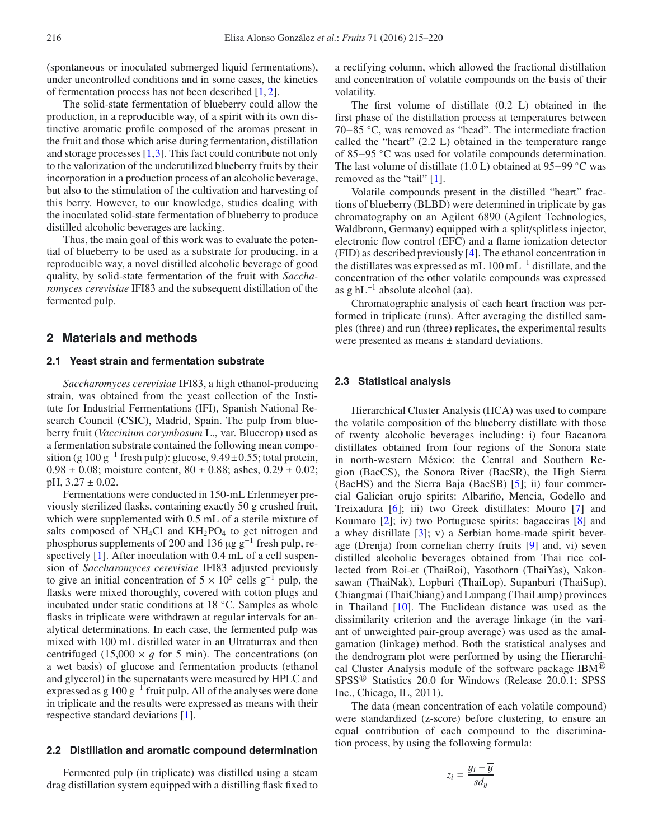(spontaneous or inoculated submerged liquid fermentations), under uncontrolled conditions and in some cases, the kinetics of fermentation process has not been described [\[1,](#page-4-0) [2](#page-4-1)].

The solid-state fermentation of blueberry could allow the production, in a reproducible way, of a spirit with its own distinctive aromatic profile composed of the aromas present in the fruit and those which arise during fermentation, distillation and storage processes [\[1,](#page-4-0)[3\]](#page-4-2). This fact could contribute not only to the valorization of the underutilized blueberry fruits by their incorporation in a production process of an alcoholic beverage, but also to the stimulation of the cultivation and harvesting of this berry. However, to our knowledge, studies dealing with the inoculated solid-state fermentation of blueberry to produce distilled alcoholic beverages are lacking.

Thus, the main goal of this work was to evaluate the potential of blueberry to be used as a substrate for producing, in a reproducible way, a novel distilled alcoholic beverage of good quality, by solid-state fermentation of the fruit with *Saccharomyces cerevisiae* IFI83 and the subsequent distillation of the fermented pulp.

## **2 Materials and methods**

#### **2.1 Yeast strain and fermentation substrate**

*Saccharomyces cerevisiae* IFI83, a high ethanol-producing strain, was obtained from the yeast collection of the Institute for Industrial Fermentations (IFI), Spanish National Research Council (CSIC), Madrid, Spain. The pulp from blueberry fruit (*Vaccinium corymbosum* L., var. Bluecrop) used as a fermentation substrate contained the following mean composition (g  $100 \text{ g}^{-1}$  fresh pulp): glucose,  $9.49 \pm 0.55$ ; total protein,  $0.98 \pm 0.08$ ; moisture content,  $80 \pm 0.88$ ; ashes,  $0.29 \pm 0.02$ ; pH,  $3.27 \pm 0.02$ .

Fermentations were conducted in 150-mL Erlenmeyer previously sterilized flasks, containing exactly 50 g crushed fruit, which were supplemented with 0.5 mL of a sterile mixture of salts composed of  $NH<sub>4</sub>Cl$  and  $KH<sub>2</sub>PO<sub>4</sub>$  to get nitrogen and phosphorus supplements of 200 and 136 µg g−<sup>1</sup> fresh pulp, re-spectively [\[1\]](#page-4-0). After inoculation with 0.4 mL of a cell suspension of *Saccharomyces cerevisiae* IFI83 adjusted previously to give an initial concentration of  $5 \times 10^5$  cells g<sup>-1</sup> pulp, the flasks were mixed thoroughly, covered with cotton plugs and incubated under static conditions at 18 ◦C. Samples as whole flasks in triplicate were withdrawn at regular intervals for analytical determinations. In each case, the fermented pulp was mixed with 100 mL distilled water in an Ultraturrax and then centrifuged (15,000  $\times$  *q* for 5 min). The concentrations (on a wet basis) of glucose and fermentation products (ethanol and glycerol) in the supernatants were measured by HPLC and expressed as g  $100 g^{-1}$  fruit pulp. All of the analyses were done in triplicate and the results were expressed as means with their respective standard deviations [\[1\]](#page-4-0).

#### **2.2 Distillation and aromatic compound determination**

Fermented pulp (in triplicate) was distilled using a steam drag distillation system equipped with a distilling flask fixed to

a rectifying column, which allowed the fractional distillation and concentration of volatile compounds on the basis of their volatility.

The first volume of distillate (0.2 L) obtained in the first phase of the distillation process at temperatures between 70−85 ◦C, was removed as "head". The intermediate fraction called the "heart" (2.2 L) obtained in the temperature range of 85−95 ◦C was used for volatile compounds determination. The last volume of distillate (1.0 L) obtained at 95−99 ◦C was removed as the "tail" [\[1](#page-4-0)].

Volatile compounds present in the distilled "heart" fractions of blueberry (BLBD) were determined in triplicate by gas chromatography on an Agilent 6890 (Agilent Technologies, Waldbronn, Germany) equipped with a split/splitless injector, electronic flow control (EFC) and a flame ionization detector (FID) as described previously [\[4\]](#page-4-3). The ethanol concentration in the distillates was expressed as mL 100 mL−<sup>1</sup> distillate, and the concentration of the other volatile compounds was expressed as g  $hL^{-1}$  absolute alcohol (aa).

Chromatographic analysis of each heart fraction was performed in triplicate (runs). After averaging the distilled samples (three) and run (three) replicates, the experimental results were presented as means ± standard deviations.

# **2.3 Statistical analysis**

Hierarchical Cluster Analysis (HCA) was used to compare the volatile composition of the blueberry distillate with those of twenty alcoholic beverages including: i) four Bacanora distillates obtained from four regions of the Sonora state in north-western México: the Central and Southern Region (BacCS), the Sonora River (BacSR), the High Sierra (BacHS) and the Sierra Baja (BacSB) [\[5](#page-4-4)]; ii) four commercial Galician orujo spirits: Albariño, Mencia, Godello and Treixadura [\[6\]](#page-4-5); iii) two Greek distillates: Mouro [\[7\]](#page-4-6) and Koumaro [\[2\]](#page-4-1); iv) two Portuguese spirits: bagaceiras [\[8](#page-4-7)] and a whey distillate [\[3](#page-4-2)]; v) a Serbian home-made spirit beverage (Drenja) from cornelian cherry fruits [\[9\]](#page-5-0) and, vi) seven distilled alcoholic beverages obtained from Thai rice collected from Roi-et (ThaiRoi), Yasothorn (ThaiYas), Nakonsawan (ThaiNak), Lopburi (ThaiLop), Supanburi (ThaiSup), Chiangmai (ThaiChiang) and Lumpang (ThaiLump) provinces in Thailand [\[10\]](#page-5-1). The Euclidean distance was used as the dissimilarity criterion and the average linkage (in the variant of unweighted pair-group average) was used as the amalgamation (linkage) method. Both the statistical analyses and the dendrogram plot were performed by using the Hierarchical Cluster Analysis module of the software package IBM $^{\circledR}$ SPSS<sup>®</sup> Statistics 20.0 for Windows (Release 20.0.1; SPSS Inc., Chicago, IL, 2011).

The data (mean concentration of each volatile compound) were standardized (z-score) before clustering, to ensure an equal contribution of each compound to the discrimination process, by using the following formula:

$$
z_i = \frac{y_i - \overline{y}}{sd_y}
$$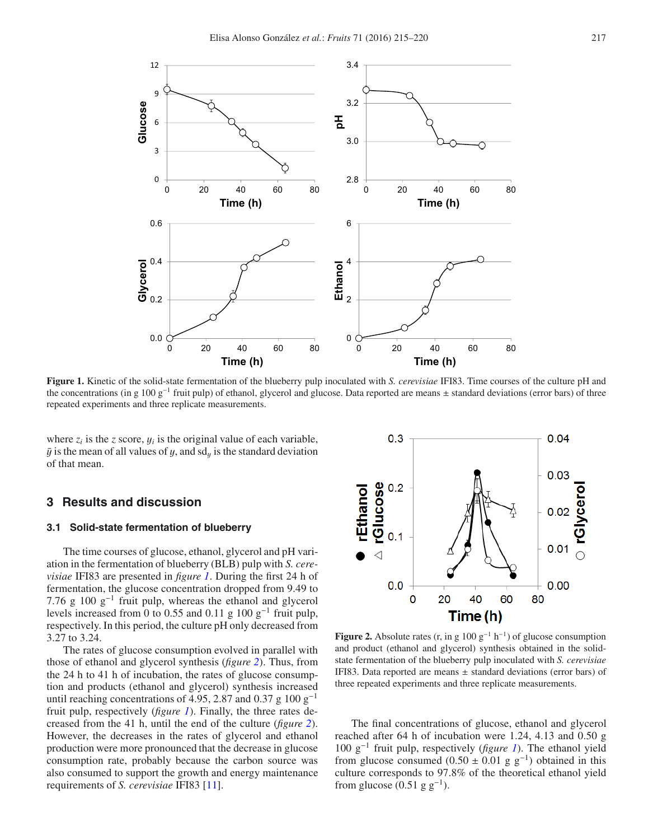

<span id="page-2-0"></span>**Figure 1.** Kinetic of the solid-state fermentation of the blueberry pulp inoculated with *S. cerevisiae* IFI83. Time courses of the culture pH and the concentrations (in g 100 g−<sup>1</sup> fruit pulp) of ethanol, glycerol and glucose. Data reported are means ± standard deviations (error bars) of three repeated experiments and three replicate measurements.

where  $z_i$  is the *z* score,  $y_i$  is the original value of each variable,  $\bar{y}$  is the mean of all values of y, and sd<sub>y</sub> is the standard deviation of that mean.

# **3 Results and discussion**

### **3.1 Solid-state fermentation of blueberry**

The time courses of glucose, ethanol, glycerol and pH variation in the fermentation of blueberry (BLB) pulp with *S. cerevisiae* IFI83 are presented in *figure [1](#page-2-0)*. During the first 24 h of fermentation, the glucose concentration dropped from 9.49 to 7.76 g 100 g−<sup>1</sup> fruit pulp, whereas the ethanol and glycerol levels increased from 0 to 0.55 and 0.11 g 100  $g^{-1}$  fruit pulp, respectively. In this period, the culture pH only decreased from 3.27 to 3.24.

The rates of glucose consumption evolved in parallel with those of ethanol and glycerol synthesis (*figure [2](#page-2-1)*). Thus, from the 24 h to 41 h of incubation, the rates of glucose consumption and products (ethanol and glycerol) synthesis increased until reaching concentrations of 4.95, 2.87 and 0.37 g 100 g<sup>-1</sup> fruit pulp, respectively (*figure [1](#page-2-0)*). Finally, the three rates decreased from the 41 h, until the end of the culture (*figure [2](#page-2-1)*). However, the decreases in the rates of glycerol and ethanol production were more pronounced that the decrease in glucose consumption rate, probably because the carbon source was also consumed to support the growth and energy maintenance requirements of *S. cerevisiae* IFI83 [\[11](#page-5-2)].

<span id="page-2-1"></span>

**Figure 2.** Absolute rates (r, in g  $100 \text{ g}^{-1} \text{ h}^{-1}$ ) of glucose consumption and product (ethanol and glycerol) synthesis obtained in the solidstate fermentation of the blueberry pulp inoculated with *S. cerevisiae* IFI83. Data reported are means  $\pm$  standard deviations (error bars) of three repeated experiments and three replicate measurements.

The final concentrations of glucose, ethanol and glycerol reached after 64 h of incubation were 1.24, 4.13 and 0.50 g 100 g−<sup>1</sup> fruit pulp, respectively (*figure [1](#page-2-0)*). The ethanol yield from glucose consumed (0.50 ± 0.01 g  $g^{-1}$ ) obtained in this culture corresponds to 97.8% of the theoretical ethanol yield from glucose  $(0.51 \text{ g g}^{-1})$ .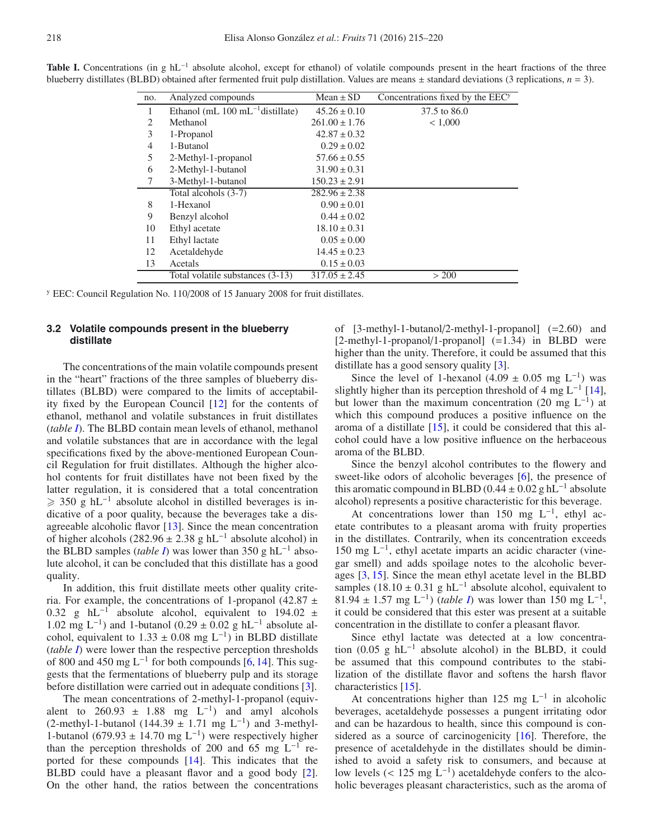| no. | Analyzed compounds                            | $Mean \pm SD$     | Concentrations fixed by the EEC <sup>y</sup> |
|-----|-----------------------------------------------|-------------------|----------------------------------------------|
| 1   | Ethanol (mL $100 \text{ mL}^{-1}$ distillate) | $45.26 \pm 0.10$  | 37.5 to 86.0                                 |
| 2   | Methanol                                      | $261.00 \pm 1.76$ | < 1,000                                      |
| 3   | 1-Propanol                                    | $42.87 \pm 0.32$  |                                              |
| 4   | 1-Butanol                                     | $0.29 \pm 0.02$   |                                              |
| 5   | 2-Methyl-1-propanol                           | $57.66 \pm 0.55$  |                                              |
| 6   | 2-Methyl-1-butanol                            | $31.90 \pm 0.31$  |                                              |
| 7   | 3-Methyl-1-butanol                            | $150.23 \pm 2.91$ |                                              |
|     | Total alcohols (3-7)                          | $282.96 \pm 2.38$ |                                              |
| 8   | 1-Hexanol                                     | $0.90 \pm 0.01$   |                                              |
| 9   | Benzyl alcohol                                | $0.44 \pm 0.02$   |                                              |
| 10  | Ethyl acetate                                 | $18.10 \pm 0.31$  |                                              |
| 11  | Ethyl lactate                                 | $0.05 \pm 0.00$   |                                              |
| 12  | Acetaldehyde                                  | $14.45 \pm 0.23$  |                                              |
| 13  | Acetals                                       | $0.15 \pm 0.03$   |                                              |
|     | Total volatile substances (3-13)              | $317.05 \pm 2.45$ | > 200                                        |
|     |                                               |                   |                                              |

<span id="page-3-0"></span>Table I. Concentrations (in g hL<sup>-1</sup> absolute alcohol, except for ethanol) of volatile compounds present in the heart fractions of the three blueberry distillates (BLBD) obtained after fermented fruit pulp distillation. Values are means  $\pm$  standard deviations (3 replications,  $n = 3$ ).

<sup>y</sup> EEC: Council Regulation No. 110/2008 of 15 January 2008 for fruit distillates.

## **3.2 Volatile compounds present in the blueberry distillate**

The concentrations of the main volatile compounds present in the "heart" fractions of the three samples of blueberry distillates (BLBD) were compared to the limits of acceptability fixed by the European Council [\[12\]](#page-5-3) for the contents of ethanol, methanol and volatile substances in fruit distillates (*table [I](#page-3-0)*). The BLBD contain mean levels of ethanol, methanol and volatile substances that are in accordance with the legal specifications fixed by the above-mentioned European Council Regulation for fruit distillates. Although the higher alcohol contents for fruit distillates have not been fixed by the latter regulation, it is considered that a total concentration  $\geq$  350 g hL<sup>-1</sup> absolute alcohol in distilled beverages is indicative of a poor quality, because the beverages take a disagreeable alcoholic flavor [\[13](#page-5-4)]. Since the mean concentration of higher alcohols (282.96  $\pm$  2.38 g hL<sup>-1</sup> absolute alcohol) in the BLBD samples (*table [I](#page-3-0)*) was lower than 350 g hL<sup>-1</sup> absolute alcohol, it can be concluded that this distillate has a good quality.

In addition, this fruit distillate meets other quality criteria. For example, the concentrations of 1-propanol (42.87  $\pm$  0.32  $\sigma$  bL<sup>-1</sup> absolute alcohol equivalent to 194.02  $\pm$ 0.32 g hL<sup>-1</sup> absolute alcohol, equivalent to 194.02  $\pm$  1.02 mg L<sup>-1</sup>) and 1-butanol (0.29 + 0.02 g hL<sup>-1</sup> absolute al-1.02 mg L<sup>-1</sup>) and 1-butanol (0.29 ± 0.02 g hL<sup>-1</sup> absolute alcohol, equivalent to  $1.33 \pm 0.08$  mg L<sup>-1</sup>) in BLBD distillate (*table [I](#page-3-0)*) were lower than the respective perception thresholds of 800 and 450 mg L<sup>-1</sup> for both compounds [\[6,](#page-4-5) [14\]](#page-5-5). This suggests that the fermentations of blueberry pulp and its storage before distillation were carried out in adequate conditions [\[3](#page-4-2)].

The mean concentrations of 2-methyl-1-propanol (equivalent to 260.93  $\pm$  1.88 mg L<sup>-1</sup>) and amyl alcohols (2-methyl-1-butanol (144.39 ± 1.71 mg L<sup>-1</sup>) and 3-methyl-1-butanol (679.93 ± 14.70 mg L<sup>-1</sup>) were respectively higher than the perception thresholds of 200 and 65 mg  $L^{-1}$  reported for these compounds [\[14\]](#page-5-5). This indicates that the BLBD could have a pleasant flavor and a good body [\[2](#page-4-1)]. On the other hand, the ratios between the concentrations of [3-methyl-1-butanol/2-methyl-1-propanol] (=2.60) and [2-methyl-1-propanol/1-propanol] (=1.34) in BLBD were higher than the unity. Therefore, it could be assumed that this distillate has a good sensory quality [\[3\]](#page-4-2).

Since the level of 1-hexanol (4.09 ± 0.05 mg L<sup>-1</sup>) was slightly higher than its perception threshold of 4 mg  $L^{-1}$  [\[14](#page-5-5)], but lower than the maximum concentration (20 mg  $L^{-1}$ ) at which this compound produces a positive influence on the aroma of a distillate [\[15\]](#page-5-6), it could be considered that this alcohol could have a low positive influence on the herbaceous aroma of the BLBD.

Since the benzyl alcohol contributes to the flowery and sweet-like odors of alcoholic beverages [\[6](#page-4-5)], the presence of this aromatic compound in BLBD (0.44  $\pm$  0.02 g hL<sup>-1</sup> absolute alcohol) represents a positive characteristic for this beverage.

At concentrations lower than 150 mg  $L^{-1}$ , ethyl acetate contributes to a pleasant aroma with fruity properties in the distillates. Contrarily, when its concentration exceeds  $150 \text{ mg } L^{-1}$ , ethyl acetate imparts an acidic character (vinegar smell) and adds spoilage notes to the alcoholic beverages [\[3,](#page-4-2) [15](#page-5-6)]. Since the mean ethyl acetate level in the BLBD samples (18.10 ± 0.31 g hL<sup>-1</sup> absolute alcohol, equivalent to <sup>81</sup>.<sup>94</sup> <sup>±</sup> <sup>1</sup>.57 mg L−1) (*table [I](#page-3-0)*) was lower than 150 mg L−1, it could be considered that this ester was present at a suitable concentration in the distillate to confer a pleasant flavor.

Since ethyl lactate was detected at a low concentration (0.05 g  $hL^{-1}$  absolute alcohol) in the BLBD, it could be assumed that this compound contributes to the stabilization of the distillate flavor and softens the harsh flavor characteristics [\[15](#page-5-6)].

At concentrations higher than 125 mg  $L^{-1}$  in alcoholic beverages, acetaldehyde possesses a pungent irritating odor and can be hazardous to health, since this compound is con-sidered as a source of carcinogenicity [\[16\]](#page-5-7). Therefore, the presence of acetaldehyde in the distillates should be diminished to avoid a safety risk to consumers, and because at low levels (< 125 mg  $L^{-1}$ ) acetaldehyde confers to the alcoholic beverages pleasant characteristics, such as the aroma of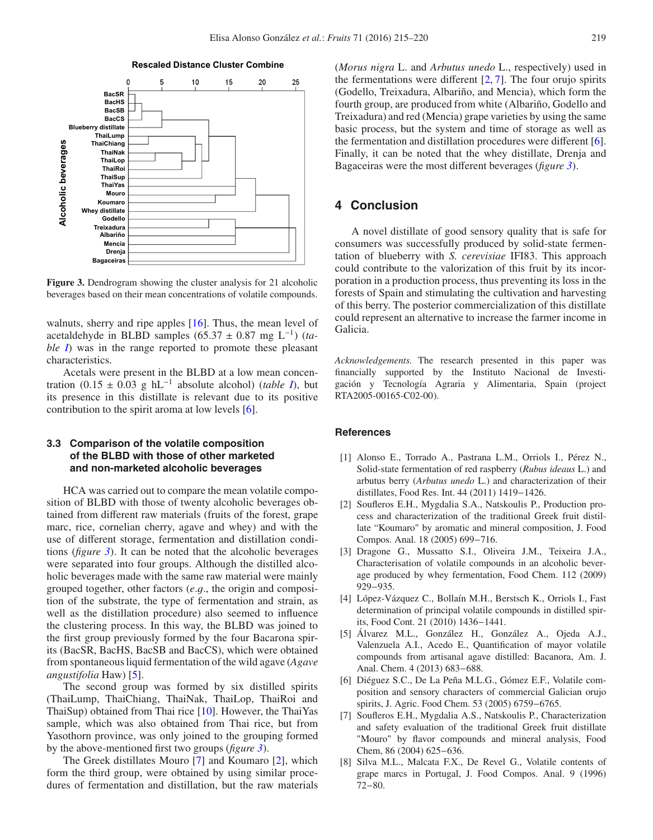<span id="page-4-8"></span>



walnuts, sherry and ripe apples [\[16](#page-5-7)]. Thus, the mean level of acetaldehyde in BLBD samples (65.<sup>37</sup> <sup>±</sup> <sup>0</sup>.87 mg L−1) (*table [I](#page-3-0)*) was in the range reported to promote these pleasant characteristics.

Acetals were present in the BLBD at a low mean concentration  $(0.15 \pm 0.03 \text{ g} \text{ hL}^{-1}$  absolute alcohol) (*table [I](#page-3-0)*), but its presence in this distillate is relevant due to its positive contribution to the spirit aroma at low levels [\[6\]](#page-4-5).

# **3.3 Comparison of the volatile composition of the BLBD with those of other marketed and non-marketed alcoholic beverages**

HCA was carried out to compare the mean volatile composition of BLBD with those of twenty alcoholic beverages obtained from different raw materials (fruits of the forest, grape marc, rice, cornelian cherry, agave and whey) and with the use of different storage, fermentation and distillation conditions (*figure [3](#page-4-8)*). It can be noted that the alcoholic beverages were separated into four groups. Although the distilled alcoholic beverages made with the same raw material were mainly grouped together, other factors (*e*.g., the origin and composition of the substrate, the type of fermentation and strain, as well as the distillation procedure) also seemed to influence the clustering process. In this way, the BLBD was joined to the first group previously formed by the four Bacarona spirits (BacSR, BacHS, BacSB and BacCS), which were obtained from spontaneous liquid fermentation of the wild agave (*Agave angustifolia* Haw) [\[5\]](#page-4-4).

The second group was formed by six distilled spirits (ThaiLump, ThaiChiang, ThaiNak, ThaiLop, ThaiRoi and ThaiSup) obtained from Thai rice [\[10](#page-5-1)]. However, the ThaiYas sample, which was also obtained from Thai rice, but from Yasothorn province, was only joined to the grouping formed by the above-mentioned first two groups (*figure [3](#page-4-8)*).

The Greek distillates Mouro [\[7\]](#page-4-6) and Koumaro [\[2\]](#page-4-1), which form the third group, were obtained by using similar procedures of fermentation and distillation, but the raw materials (*Morus nigra* L. and *Arbutus unedo* L., respectively) used in the fermentations were different  $[2, 7]$  $[2, 7]$  $[2, 7]$  $[2, 7]$ . The four orujo spirits (Godello, Treixadura, Albariño, and Mencia), which form the fourth group, are produced from white (Albariño, Godello and Treixadura) and red (Mencia) grape varieties by using the same basic process, but the system and time of storage as well as the fermentation and distillation procedures were different [\[6](#page-4-5)]. Finally, it can be noted that the whey distillate, Drenja and Bagaceiras were the most different beverages (*figure [3](#page-4-8)*).

# **4 Conclusion**

A novel distillate of good sensory quality that is safe for consumers was successfully produced by solid-state fermentation of blueberry with *S. cerevisiae* IFI83. This approach could contribute to the valorization of this fruit by its incorporation in a production process, thus preventing its loss in the forests of Spain and stimulating the cultivation and harvesting of this berry. The posterior commercialization of this distillate could represent an alternative to increase the farmer income in Galicia.

*Acknowledgements.* The research presented in this paper was financially supported by the Instituto Nacional de Investigación y Tecnología Agraria y Alimentaria, Spain (project RTA2005-00165-C02-00).

#### <span id="page-4-0"></span>**References**

- [1] Alonso E., Torrado A., Pastrana L.M., Orriols I., Pérez N., Solid-state fermentation of red raspberry (*Rubus ideaus* L.) and arbutus berry (*Arbutus unedo* L.) and characterization of their distillates, Food Res. Int. 44 (2011) 1419−1426.
- <span id="page-4-1"></span>[2] Soufleros E.H., Mygdalia S.A., Natskoulis P., Production process and characterization of the traditional Greek fruit distillate "Koumaro" by aromatic and mineral composition, J. Food Compos. Anal. 18 (2005) 699−716.
- <span id="page-4-2"></span>[3] Dragone G., Mussatto S.I., Oliveira J.M., Teixeira J.A., Characterisation of volatile compounds in an alcoholic beverage produced by whey fermentation, Food Chem. 112 (2009) 929−935.
- <span id="page-4-3"></span>[4] López-Vázquez C., Bollaín M.H., Berstsch K., Orriols I., Fast determination of principal volatile compounds in distilled spirits, Food Cont. 21 (2010) 1436−1441.
- <span id="page-4-4"></span>[5] Álvarez M.L., González H., González A., Ojeda A.J., Valenzuela A.I., Acedo E., Quantification of mayor volatile compounds from artisanal agave distilled: Bacanora, Am. J. Anal. Chem. 4 (2013) 683−688.
- <span id="page-4-5"></span>[6] Diéguez S.C., De La Peña M.L.G., Gómez E.F., Volatile composition and sensory characters of commercial Galician orujo spirits, J. Agric. Food Chem. 53 (2005) 6759−6765.
- <span id="page-4-6"></span>[7] Soufleros E.H., Mygdalia A.S., Natskoulis P., Characterization and safety evaluation of the traditional Greek fruit distillate "Mouro" by flavor compounds and mineral analysis, Food Chem, 86 (2004) 625−636.
- <span id="page-4-7"></span>[8] Silva M.L., Malcata F.X., De Revel G., Volatile contents of grape marcs in Portugal, J. Food Compos. Anal. 9 (1996) 72−80.